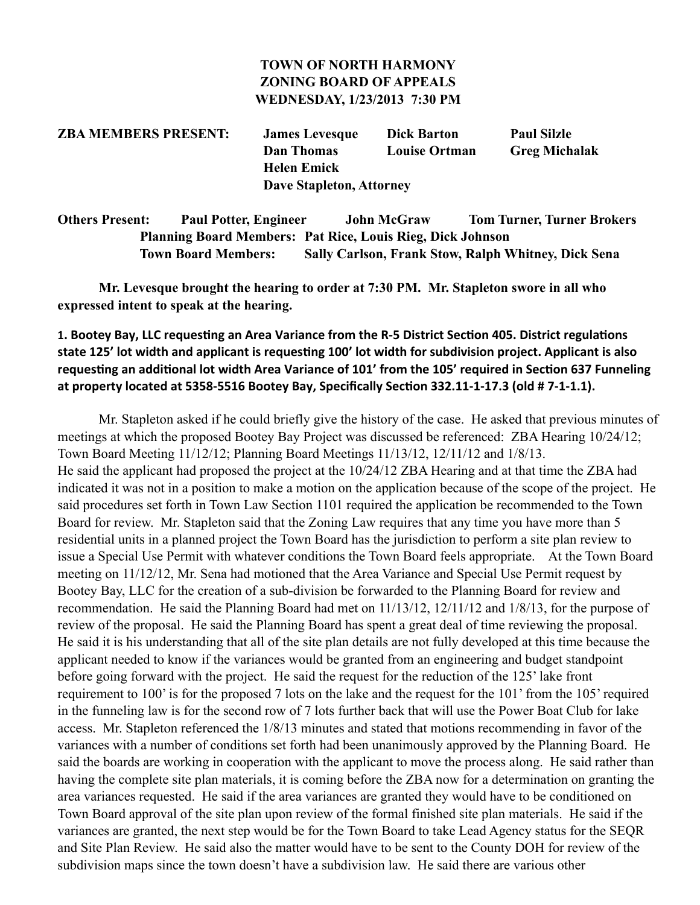#### **TOWN OF NORTH HARMONY ZONING BOARD OF APPEALS WEDNESDAY, 1/23/2013 7:30 PM**

**ZBA MEMBERS PRESENT: James Levesque Dick Barton Paul Silzle Dan Thomas Louise Ortman Greg Michalak Helen Emick Dave Stapleton, Attorney**

**Others Present: Paul Potter, Engineer John McGraw Tom Turner, Turner Brokers Planning Board Members: Pat Rice, Louis Rieg, Dick Johnson Town Board Members: Sally Carlson, Frank Stow, Ralph Whitney, Dick Sena**

 **Mr. Levesque brought the hearing to order at 7:30 PM. Mr. Stapleton swore in all who expressed intent to speak at the hearing.**

1. Bootey Bay, LLC requesting an Area Variance from the R-5 District Section 405. District regulations state 125' lot width and applicant is requesting 100' lot width for subdivision project. Applicant is also requesting an additional lot width Area Variance of 101' from the 105' required in Section 637 Funneling at property located at 5358-5516 Bootey Bay, Specifically Section 332.11-1-17.3 (old # 7-1-1.1).

Mr. Stapleton asked if he could briefly give the history of the case. He asked that previous minutes of meetings at which the proposed Bootey Bay Project was discussed be referenced: ZBA Hearing 10/24/12; Town Board Meeting 11/12/12; Planning Board Meetings 11/13/12, 12/11/12 and 1/8/13. He said the applicant had proposed the project at the 10/24/12 ZBA Hearing and at that time the ZBA had indicated it was not in a position to make a motion on the application because of the scope of the project. He said procedures set forth in Town Law Section 1101 required the application be recommended to the Town Board for review. Mr. Stapleton said that the Zoning Law requires that any time you have more than 5 residential units in a planned project the Town Board has the jurisdiction to perform a site plan review to issue a Special Use Permit with whatever conditions the Town Board feels appropriate. At the Town Board meeting on 11/12/12, Mr. Sena had motioned that the Area Variance and Special Use Permit request by Bootey Bay, LLC for the creation of a sub-division be forwarded to the Planning Board for review and recommendation. He said the Planning Board had met on 11/13/12, 12/11/12 and 1/8/13, for the purpose of review of the proposal. He said the Planning Board has spent a great deal of time reviewing the proposal. He said it is his understanding that all of the site plan details are not fully developed at this time because the applicant needed to know if the variances would be granted from an engineering and budget standpoint before going forward with the project. He said the request for the reduction of the 125' lake front requirement to 100' is for the proposed 7 lots on the lake and the request for the 101' from the 105' required in the funneling law is for the second row of 7 lots further back that will use the Power Boat Club for lake access. Mr. Stapleton referenced the 1/8/13 minutes and stated that motions recommending in favor of the variances with a number of conditions set forth had been unanimously approved by the Planning Board. He said the boards are working in cooperation with the applicant to move the process along. He said rather than having the complete site plan materials, it is coming before the ZBA now for a determination on granting the area variances requested. He said if the area variances are granted they would have to be conditioned on Town Board approval of the site plan upon review of the formal finished site plan materials. He said if the variances are granted, the next step would be for the Town Board to take Lead Agency status for the SEQR and Site Plan Review. He said also the matter would have to be sent to the County DOH for review of the subdivision maps since the town doesn't have a subdivision law. He said there are various other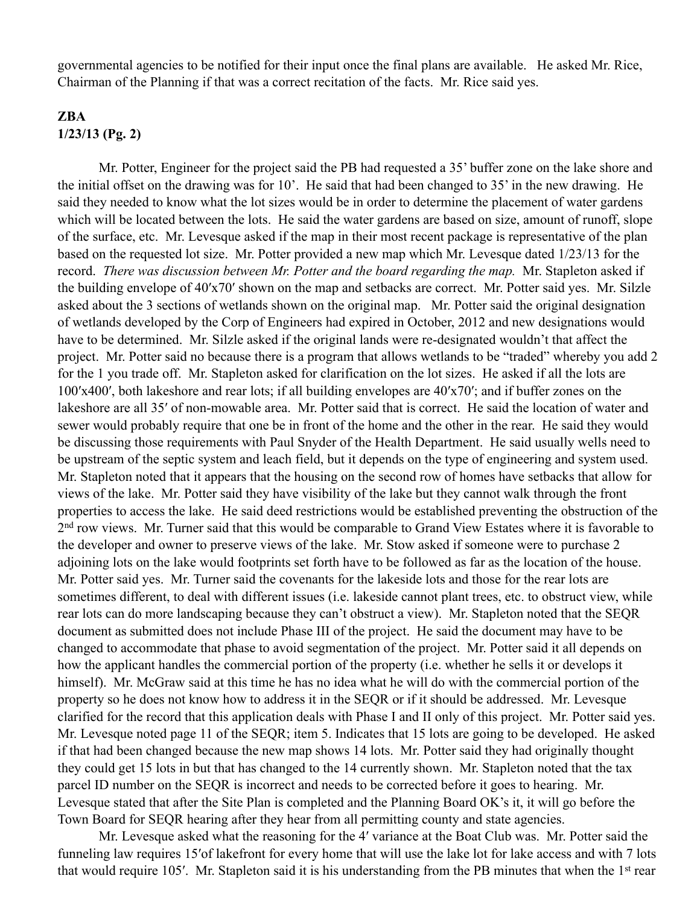governmental agencies to be notified for their input once the final plans are available. He asked Mr. Rice, Chairman of the Planning if that was a correct recitation of the facts. Mr. Rice said yes.

### **ZBA 1/23/13 (Pg. 2)**

 Mr. Potter, Engineer for the project said the PB had requested a 35' buffer zone on the lake shore and the initial offset on the drawing was for 10'. He said that had been changed to 35' in the new drawing. He said they needed to know what the lot sizes would be in order to determine the placement of water gardens which will be located between the lots. He said the water gardens are based on size, amount of runoff, slope of the surface, etc. Mr. Levesque asked if the map in their most recent package is representative of the plan based on the requested lot size. Mr. Potter provided a new map which Mr. Levesque dated 1/23/13 for the record. *There was discussion between Mr. Potter and the board regarding the map.* Mr. Stapleton asked if the building envelope of 40′x70′ shown on the map and setbacks are correct. Mr. Potter said yes. Mr. Silzle asked about the 3 sections of wetlands shown on the original map. Mr. Potter said the original designation of wetlands developed by the Corp of Engineers had expired in October, 2012 and new designations would have to be determined. Mr. Silzle asked if the original lands were re-designated wouldn't that affect the project. Mr. Potter said no because there is a program that allows wetlands to be "traded" whereby you add 2 for the 1 you trade off. Mr. Stapleton asked for clarification on the lot sizes. He asked if all the lots are 100′x400′, both lakeshore and rear lots; if all building envelopes are 40′x70′; and if buffer zones on the lakeshore are all 35′ of non-mowable area. Mr. Potter said that is correct. He said the location of water and sewer would probably require that one be in front of the home and the other in the rear. He said they would be discussing those requirements with Paul Snyder of the Health Department. He said usually wells need to be upstream of the septic system and leach field, but it depends on the type of engineering and system used. Mr. Stapleton noted that it appears that the housing on the second row of homes have setbacks that allow for views of the lake. Mr. Potter said they have visibility of the lake but they cannot walk through the front properties to access the lake. He said deed restrictions would be established preventing the obstruction of the 2<sup>nd</sup> row views. Mr. Turner said that this would be comparable to Grand View Estates where it is favorable to the developer and owner to preserve views of the lake. Mr. Stow asked if someone were to purchase 2 adjoining lots on the lake would footprints set forth have to be followed as far as the location of the house. Mr. Potter said yes. Mr. Turner said the covenants for the lakeside lots and those for the rear lots are sometimes different, to deal with different issues (i.e. lakeside cannot plant trees, etc. to obstruct view, while rear lots can do more landscaping because they can't obstruct a view). Mr. Stapleton noted that the SEQR document as submitted does not include Phase III of the project. He said the document may have to be changed to accommodate that phase to avoid segmentation of the project. Mr. Potter said it all depends on how the applicant handles the commercial portion of the property (i.e. whether he sells it or develops it himself). Mr. McGraw said at this time he has no idea what he will do with the commercial portion of the property so he does not know how to address it in the SEQR or if it should be addressed. Mr. Levesque clarified for the record that this application deals with Phase I and II only of this project. Mr. Potter said yes. Mr. Levesque noted page 11 of the SEQR; item 5. Indicates that 15 lots are going to be developed. He asked if that had been changed because the new map shows 14 lots. Mr. Potter said they had originally thought they could get 15 lots in but that has changed to the 14 currently shown. Mr. Stapleton noted that the tax parcel ID number on the SEQR is incorrect and needs to be corrected before it goes to hearing. Mr. Levesque stated that after the Site Plan is completed and the Planning Board OK's it, it will go before the Town Board for SEQR hearing after they hear from all permitting county and state agencies.

 Mr. Levesque asked what the reasoning for the 4′ variance at the Boat Club was. Mr. Potter said the funneling law requires 15′of lakefront for every home that will use the lake lot for lake access and with 7 lots that would require 105′. Mr. Stapleton said it is his understanding from the PB minutes that when the 1st rear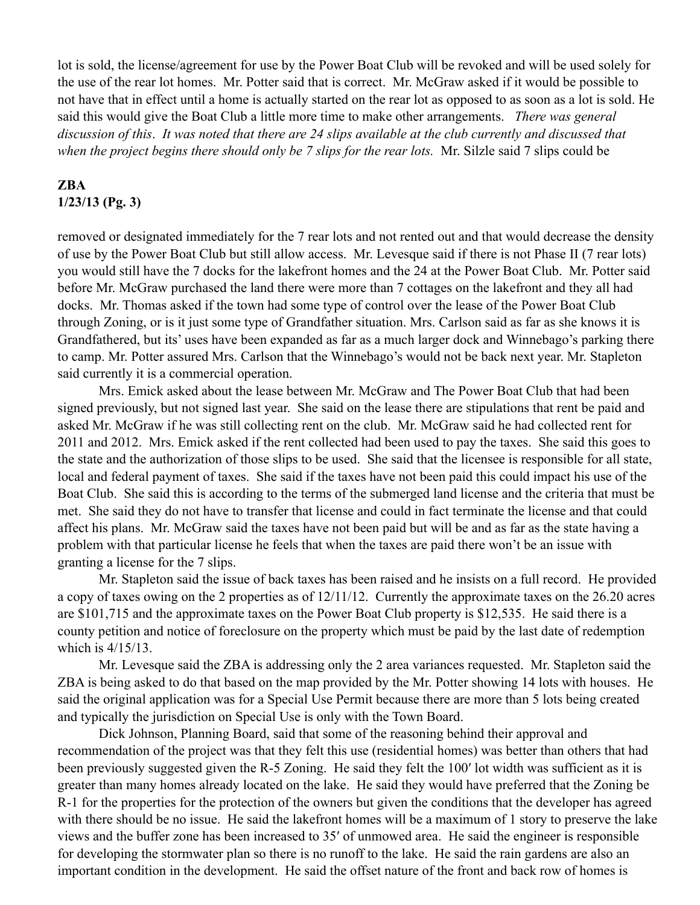lot is sold, the license/agreement for use by the Power Boat Club will be revoked and will be used solely for the use of the rear lot homes. Mr. Potter said that is correct. Mr. McGraw asked if it would be possible to not have that in effect until a home is actually started on the rear lot as opposed to as soon as a lot is sold. He said this would give the Boat Club a little more time to make other arrangements. *There was general discussion of this*. *It was noted that there are 24 slips available at the club currently and discussed that*  when the project begins there should only be 7 slips for the rear lots. Mr. Silzle said 7 slips could be

## **ZBA 1/23/13 (Pg. 3)**

removed or designated immediately for the 7 rear lots and not rented out and that would decrease the density of use by the Power Boat Club but still allow access. Mr. Levesque said if there is not Phase II (7 rear lots) you would still have the 7 docks for the lakefront homes and the 24 at the Power Boat Club. Mr. Potter said before Mr. McGraw purchased the land there were more than 7 cottages on the lakefront and they all had docks. Mr. Thomas asked if the town had some type of control over the lease of the Power Boat Club through Zoning, or is it just some type of Grandfather situation. Mrs. Carlson said as far as she knows it is Grandfathered, but its' uses have been expanded as far as a much larger dock and Winnebago's parking there to camp. Mr. Potter assured Mrs. Carlson that the Winnebago's would not be back next year. Mr. Stapleton said currently it is a commercial operation.

 Mrs. Emick asked about the lease between Mr. McGraw and The Power Boat Club that had been signed previously, but not signed last year. She said on the lease there are stipulations that rent be paid and asked Mr. McGraw if he was still collecting rent on the club. Mr. McGraw said he had collected rent for 2011 and 2012. Mrs. Emick asked if the rent collected had been used to pay the taxes. She said this goes to the state and the authorization of those slips to be used. She said that the licensee is responsible for all state, local and federal payment of taxes. She said if the taxes have not been paid this could impact his use of the Boat Club. She said this is according to the terms of the submerged land license and the criteria that must be met. She said they do not have to transfer that license and could in fact terminate the license and that could affect his plans. Mr. McGraw said the taxes have not been paid but will be and as far as the state having a problem with that particular license he feels that when the taxes are paid there won't be an issue with granting a license for the 7 slips.

 Mr. Stapleton said the issue of back taxes has been raised and he insists on a full record. He provided a copy of taxes owing on the 2 properties as of 12/11/12. Currently the approximate taxes on the 26.20 acres are \$101,715 and the approximate taxes on the Power Boat Club property is \$12,535. He said there is a county petition and notice of foreclosure on the property which must be paid by the last date of redemption which is 4/15/13.

 Mr. Levesque said the ZBA is addressing only the 2 area variances requested. Mr. Stapleton said the ZBA is being asked to do that based on the map provided by the Mr. Potter showing 14 lots with houses. He said the original application was for a Special Use Permit because there are more than 5 lots being created and typically the jurisdiction on Special Use is only with the Town Board.

 Dick Johnson, Planning Board, said that some of the reasoning behind their approval and recommendation of the project was that they felt this use (residential homes) was better than others that had been previously suggested given the R-5 Zoning. He said they felt the 100′ lot width was sufficient as it is greater than many homes already located on the lake. He said they would have preferred that the Zoning be R-1 for the properties for the protection of the owners but given the conditions that the developer has agreed with there should be no issue. He said the lakefront homes will be a maximum of 1 story to preserve the lake views and the buffer zone has been increased to 35′ of unmowed area. He said the engineer is responsible for developing the stormwater plan so there is no runoff to the lake. He said the rain gardens are also an important condition in the development. He said the offset nature of the front and back row of homes is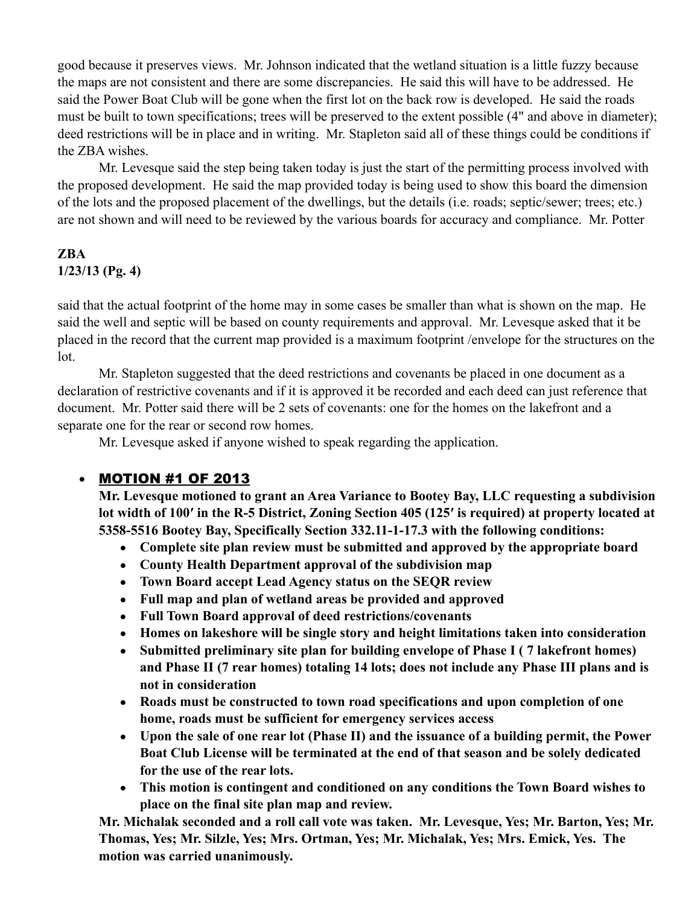good because it preserves views. Mr. Johnson indicated that the wetland situation is a little fuzzy because the maps are not consistent and there are some discrepancies. He said this will have to be addressed. He said the Power Boat Club will be gone when the first lot on the back row is developed. He said the roads must be built to town specifications; trees will be preserved to the extent possible (4" and above in diameter); deed restrictions will be in place and in writing. Mr. Stapleton said all of these things could be conditions if the ZBA wishes.

 Mr. Levesque said the step being taken today is just the start of the permitting process involved with the proposed development. He said the map provided today is being used to show this board the dimension of the lots and the proposed placement of the dwellings, but the details (i.e. roads; septic/sewer; trees; etc.) are not shown and will need to be reviewed by the various boards for accuracy and compliance. Mr. Potter

## **ZBA 1/23/13 (Pg. 4)**

said that the actual footprint of the home may in some cases be smaller than what is shown on the map. He said the well and septic will be based on county requirements and approval. Mr. Levesque asked that it be placed in the record that the current map provided is a maximum footprint /envelope for the structures on the lot.

 Mr. Stapleton suggested that the deed restrictions and covenants be placed in one document as a declaration of restrictive covenants and if it is approved it be recorded and each deed can just reference that document. Mr. Potter said there will be 2 sets of covenants: one for the homes on the lakefront and a separate one for the rear or second row homes.

Mr. Levesque asked if anyone wished to speak regarding the application.

# • MOTION #1 OF 2013

**Mr. Levesque motioned to grant an Area Variance to Bootey Bay, LLC requesting a subdivision lot width of 100′ in the R-5 District, Zoning Section 405 (125′ is required) at property located at 5358-5516 Bootey Bay, Specifically Section 332.11-1-17.3 with the following conditions:**

- **Complete site plan review must be submitted and approved by the appropriate board**
- **County Health Department approval of the subdivision map**
- **Town Board accept Lead Agency status on the SEQR review**
- **Full map and plan of wetland areas be provided and approved**
- **Full Town Board approval of deed restrictions/covenants**
- **Homes on lakeshore will be single story and height limitations taken into consideration**
- **Submitted preliminary site plan for building envelope of Phase I ( 7 lakefront homes) and Phase II (7 rear homes) totaling 14 lots; does not include any Phase III plans and is not in consideration**
- **Roads must be constructed to town road specifications and upon completion of one home, roads must be sufficient for emergency services access**
- **Upon the sale of one rear lot (Phase II) and the issuance of a building permit, the Power Boat Club License will be terminated at the end of that season and be solely dedicated for the use of the rear lots.**
- **This motion is contingent and conditioned on any conditions the Town Board wishes to place on the final site plan map and review.**

**Mr. Michalak seconded and a roll call vote was taken. Mr. Levesque, Yes; Mr. Barton, Yes; Mr. Thomas, Yes; Mr. Silzle, Yes; Mrs. Ortman, Yes; Mr. Michalak, Yes; Mrs. Emick, Yes. The motion was carried unanimously.**